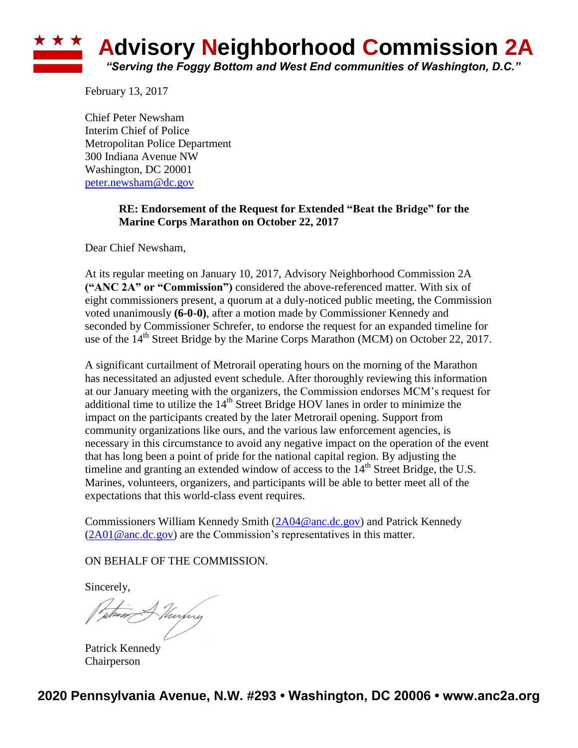## **\* \* \* Advisory Neighborhood Commission 2A** *"Serving the Foggy Bottom and West End communities of Washington, D.C."*

February 13, 2017

Chief Peter Newsham Interim Chief of Police Metropolitan Police Department 300 Indiana Avenue NW Washington, DC 20001 [peter.newsham@dc.gov](mailto:peter.newsham@dc.gov)

## **RE: Endorsement of the Request for Extended "Beat the Bridge" for the Marine Corps Marathon on October 22, 2017**

Dear Chief Newsham,

At its regular meeting on January 10, 2017, Advisory Neighborhood Commission 2A **("ANC 2A" or "Commission")** considered the above-referenced matter. With six of eight commissioners present, a quorum at a duly-noticed public meeting, the Commission voted unanimously **(6-0-0)**, after a motion made by Commissioner Kennedy and seconded by Commissioner Schrefer, to endorse the request for an expanded timeline for use of the  $14<sup>th</sup>$  Street Bridge by the Marine Corps Marathon (MCM) on October 22, 2017.

A significant curtailment of Metrorail operating hours on the morning of the Marathon has necessitated an adjusted event schedule. After thoroughly reviewing this information at our January meeting with the organizers, the Commission endorses MCM's request for additional time to utilize the  $14<sup>th</sup>$  Street Bridge HOV lanes in order to minimize the impact on the participants created by the later Metrorail opening. Support from community organizations like ours, and the various law enforcement agencies, is necessary in this circumstance to avoid any negative impact on the operation of the event that has long been a point of pride for the national capital region. By adjusting the timeline and granting an extended window of access to the  $14<sup>th</sup>$  Street Bridge, the U.S. Marines, volunteers, organizers, and participants will be able to better meet all of the expectations that this world-class event requires.

Commissioners William Kennedy Smith [\(2A04@anc.dc.gov\)](mailto:2A04@anc.dc.gov) and Patrick Kennedy  $(2A01@anc.dc.gov)$  are the Commission's representatives in this matter.

ON BEHALF OF THE COMMISSION.

Sincerely,

Thurbing

Patrick Kennedy Chairperson

**2020 Pennsylvania Avenue, N.W. #293 • Washington, DC 20006 • www.anc2a.org**